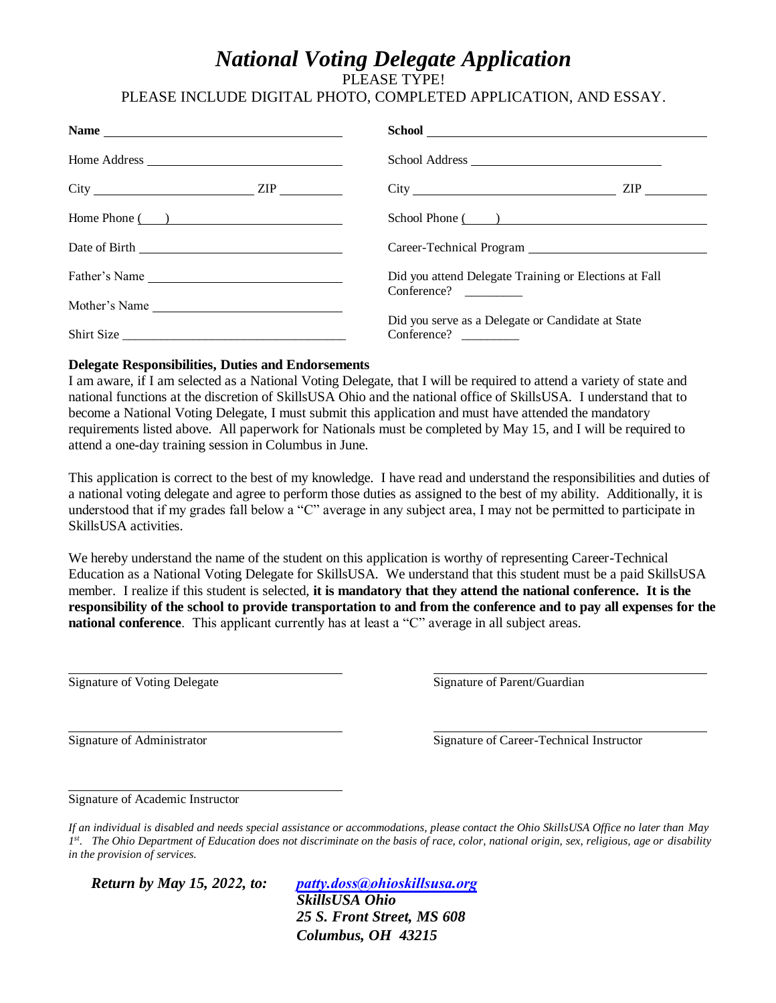## *National Voting Delegate Application*

PLEASE TYPE!

## PLEASE INCLUDE DIGITAL PHOTO, COMPLETED APPLICATION, AND ESSAY.

| Name has a series of the series of the series of the series of the series of the series of the series of the series of the series of the series of the series of the series of the series of the series of the series of the s |                                                                      |
|--------------------------------------------------------------------------------------------------------------------------------------------------------------------------------------------------------------------------------|----------------------------------------------------------------------|
|                                                                                                                                                                                                                                | School Address                                                       |
| $City$ $\qquad \qquad \qquad \qquad \qquad \qquad \qquad \text{ZIP}$                                                                                                                                                           |                                                                      |
| Home Phone $($ $)$                                                                                                                                                                                                             | School Phone ( )                                                     |
|                                                                                                                                                                                                                                |                                                                      |
| Father's Name                                                                                                                                                                                                                  | Did you attend Delegate Training or Elections at Fall<br>Conference? |
| Mother's Name                                                                                                                                                                                                                  |                                                                      |
|                                                                                                                                                                                                                                | Did you serve as a Delegate or Candidate at State                    |
| Shirt Size                                                                                                                                                                                                                     | Conference?                                                          |

## **Delegate Responsibilities, Duties and Endorsements**

I am aware, if I am selected as a National Voting Delegate, that I will be required to attend a variety of state and national functions at the discretion of SkillsUSA Ohio and the national office of SkillsUSA. I understand that to become a National Voting Delegate, I must submit this application and must have attended the mandatory requirements listed above. All paperwork for Nationals must be completed by May 15, and I will be required to attend a one-day training session in Columbus in June.

This application is correct to the best of my knowledge. I have read and understand the responsibilities and duties of a national voting delegate and agree to perform those duties as assigned to the best of my ability. Additionally, it is understood that if my grades fall below a "C" average in any subject area, I may not be permitted to participate in SkillsUSA activities.

We hereby understand the name of the student on this application is worthy of representing Career-Technical Education as a National Voting Delegate for SkillsUSA. We understand that this student must be a paid SkillsUSA member. I realize if this student is selected, **it is mandatory that they attend the national conference. It is the responsibility of the school to provide transportation to and from the conference and to pay all expenses for the national conference**. This applicant currently has at least a "C" average in all subject areas.

Signature of Voting Delegate Signature of Parent/Guardian

Signature of Administrator Signature of Career-Technical Instructor

Signature of Academic Instructor

*If an individual is disabled and needs special assistance or accommodations, please contact the Ohio SkillsUSA Office no later than May 1 st . The Ohio Department of Education does not discriminate on the basis of race, color, national origin, sex, religious, age or disability in the provision of services.* 

*Return by May 15, 2022, to: [patty.doss@ohioskillsusa.org](mailto:Tamyra.plotts@education.ohio.gov) SkillsUSA Ohio 25 S. Front Street, MS 608 Columbus, OH 43215*